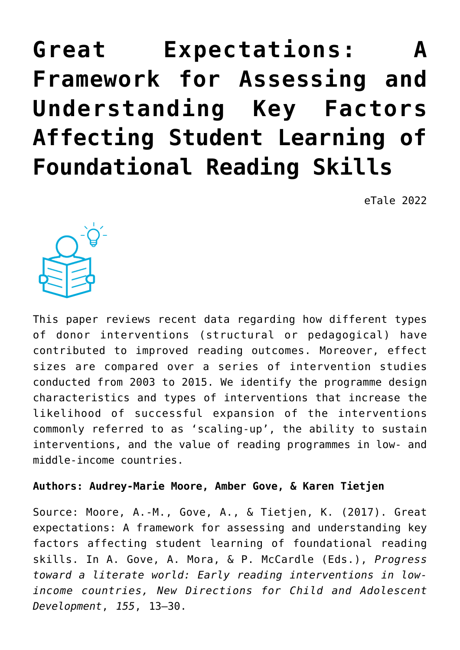# **[Great Expectations: A](https://dev.taleafrica.com/2021/04/14/great-expectations-a-framework-for-assessing-and-understanding-key-factors-affecting-student-learning-of-foundational-reading-skills/) [Framework for Assessing and](https://dev.taleafrica.com/2021/04/14/great-expectations-a-framework-for-assessing-and-understanding-key-factors-affecting-student-learning-of-foundational-reading-skills/) [Understanding Key Factors](https://dev.taleafrica.com/2021/04/14/great-expectations-a-framework-for-assessing-and-understanding-key-factors-affecting-student-learning-of-foundational-reading-skills/) [Affecting Student Learning of](https://dev.taleafrica.com/2021/04/14/great-expectations-a-framework-for-assessing-and-understanding-key-factors-affecting-student-learning-of-foundational-reading-skills/) [Foundational Reading Skills](https://dev.taleafrica.com/2021/04/14/great-expectations-a-framework-for-assessing-and-understanding-key-factors-affecting-student-learning-of-foundational-reading-skills/)**

eTale 2022



This paper reviews recent data regarding how different types of donor interventions (structural or pedagogical) have contributed to improved reading outcomes. Moreover, effect sizes are compared over a series of intervention studies conducted from 2003 to 2015. We identify the programme design characteristics and types of interventions that increase the likelihood of successful expansion of the interventions commonly referred to as 'scaling-up', the ability to sustain interventions, and the value of reading programmes in low- and middle-income countries.

# **Authors: Audrey-Marie Moore, Amber Gove, & Karen Tietjen**

Source: Moore, A.-M., Gove, A., & Tietjen, K. (2017). Great expectations: A framework for assessing and understanding key factors affecting student learning of foundational reading skills. In A. Gove, A. Mora, & P. McCardle (Eds.), *Progress toward a literate world: Early reading interventions in lowincome countries, New Directions for Child and Adolescent Development*, *155*, 13–30.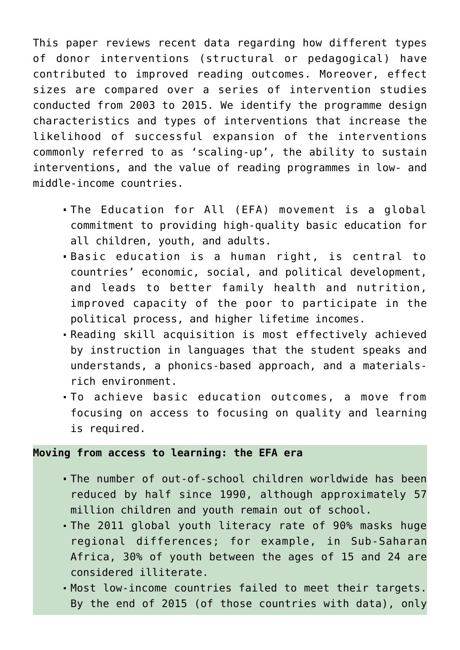This paper reviews recent data regarding how different types of donor interventions (structural or pedagogical) have contributed to improved reading outcomes. Moreover, effect sizes are compared over a series of intervention studies conducted from 2003 to 2015. We identify the programme design characteristics and types of interventions that increase the likelihood of successful expansion of the interventions commonly referred to as 'scaling-up', the ability to sustain interventions, and the value of reading programmes in low- and middle-income countries.

- The Education for All (EFA) movement is a global commitment to providing high-quality basic education for all children, youth, and adults.
- Basic education is a human right, is central to countries' economic, social, and political development, and leads to better family health and nutrition, improved capacity of the poor to participate in the political process, and higher lifetime incomes.
- Reading skill acquisition is most effectively achieved by instruction in languages that the student speaks and understands, a phonics-based approach, and a materialsrich environment.
- To achieve basic education outcomes, a move from focusing on access to focusing on quality and learning is required.

# **Moving from access to learning: the EFA era**

- The number of out-of-school children worldwide has been reduced by half since 1990, although approximately 57 million children and youth remain out of school.
- The 2011 global youth literacy rate of 90% masks huge regional differences; for example, in Sub-Saharan Africa, 30% of youth between the ages of 15 and 24 are considered illiterate.
- Most low-income countries failed to meet their targets. By the end of 2015 (of those countries with data), only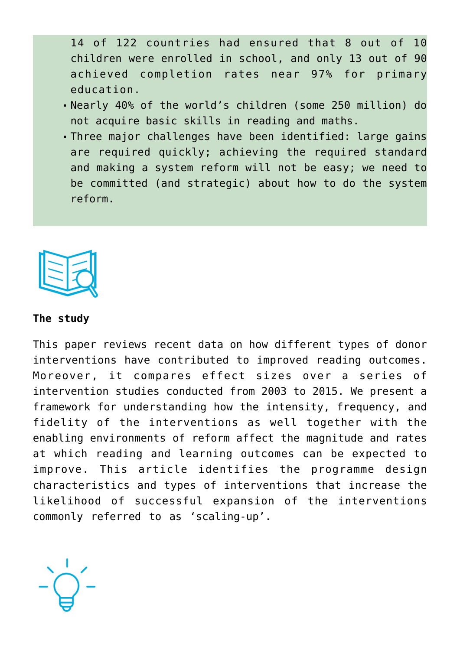14 of 122 countries had ensured that 8 out of 10 children were enrolled in school, and only 13 out of 90 achieved completion rates near 97% for primary education.

- Nearly 40% of the world's children (some 250 million) do not acquire basic skills in reading and maths.
- Three major challenges have been identified: large gains are required quickly; achieving the required standard and making a system reform will not be easy; we need to be committed (and strategic) about how to do the system reform.



#### **The study**

This paper reviews recent data on how different types of donor interventions have contributed to improved reading outcomes. Moreover, it compares effect sizes over a series of intervention studies conducted from 2003 to 2015. We present a framework for understanding how the intensity, frequency, and fidelity of the interventions as well together with the enabling environments of reform affect the magnitude and rates at which reading and learning outcomes can be expected to improve. This article identifies the programme design characteristics and types of interventions that increase the likelihood of successful expansion of the interventions commonly referred to as 'scaling-up'.

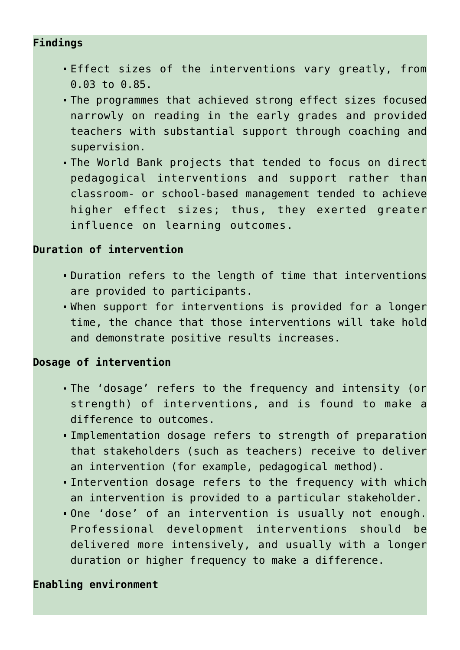# **Findings**

- Effect sizes of the interventions vary greatly, from 0.03 to 0.85.
- The programmes that achieved strong effect sizes focused narrowly on reading in the early grades and provided teachers with substantial support through coaching and supervision.
- The World Bank projects that tended to focus on direct pedagogical interventions and support rather than classroom- or school-based management tended to achieve higher effect sizes; thus, they exerted greater influence on learning outcomes.

# **Duration of intervention**

- Duration refers to the length of time that interventions are provided to participants.
- When support for interventions is provided for a longer time, the chance that those interventions will take hold and demonstrate positive results increases.

# **Dosage of intervention**

- The 'dosage' refers to the frequency and intensity (or strength) of interventions, and is found to make a difference to outcomes.
- Implementation dosage refers to strength of preparation that stakeholders (such as teachers) receive to deliver an intervention (for example, pedagogical method).
- Intervention dosage refers to the frequency with which an intervention is provided to a particular stakeholder.
- One 'dose' of an intervention is usually not enough. Professional development interventions should be delivered more intensively, and usually with a longer duration or higher frequency to make a difference.

# **Enabling environment**